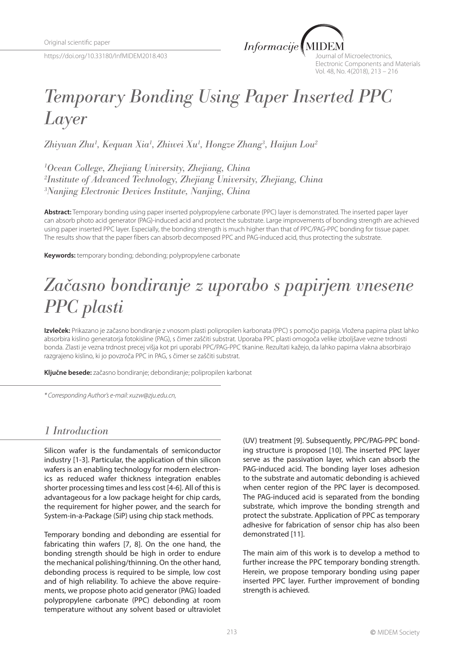https://doi.org/10.33180/InfMIDEM2018.403



Journal of Microelectronics, Electronic Components and Materials Vol. 48, No. 4(2018), 213 – 216

# *Temporary Bonding Using Paper Inserted PPC Layer*

*Zhiyuan Zhu1 , Kequan Xia1 , Zhiwei Xu1 , Hongze Zhang3 , Haijun Lou2*

*1 Ocean College, Zhejiang University, Zhejiang, China 2 Institute of Advanced Technology, Zhejiang University, Zhejiang, China 3 Nanjing Electronic Devices Institute, Nanjing, China*

**Abstract:** Temporary bonding using paper inserted polypropylene carbonate (PPC) layer is demonstrated. The inserted paper layer can absorb photo acid generator (PAG)-induced acid and protect the substrate. Large improvements of bonding strength are achieved using paper inserted PPC layer. Especially, the bonding strength is much higher than that of PPC/PAG-PPC bonding for tissue paper. The results show that the paper fibers can absorb decomposed PPC and PAG-induced acid, thus protecting the substrate.

**Keywords:** temporary bonding; debonding; polypropylene carbonate

# *Začasno bondiranje z uporabo s papirjem vnesene PPC plasti*

**Izvleček:** Prikazano je začasno bondiranje z vnosom plasti polipropilen karbonata (PPC) s pomočjo papirja. Vložena papirna plast lahko absorbira kislino generatorja fotokisline (PAG), s čimer zaščiti substrat. Uporaba PPC plasti omogoča velike izboljšave vezne trdnosti bonda. Zlasti je vezna trdnost precej višja kot pri uporabi PPC/PAG-PPC tkanine. Rezultati kažejo, da lahko papirna vlakna absorbirajo razgrajeno kislino, ki jo povzroča PPC in PAG, s čimer se zaščiti substrat.

**Ključne besede:** začasno bondiranje; debondiranje; polipropilen karbonat

*\* Corresponding Author's e-mail: xuzw@zju.edu.cn,*

#### *1 Introduction*

Silicon wafer is the fundamentals of semiconductor industry [1-3]. Particular, the application of thin silicon wafers is an enabling technology for modern electronics as reduced wafer thickness integration enables shorter processing times and less cost [4-6]. All of this is advantageous for a low package height for chip cards, the requirement for higher power, and the search for System-in-a-Package (SiP) using chip stack methods.

Temporary bonding and debonding are essential for fabricating thin wafers [7, 8]. On the one hand, the bonding strength should be high in order to endure the mechanical polishing/thinning. On the other hand, debonding process is required to be simple, low cost and of high reliability. To achieve the above requirements, we propose photo acid generator (PAG) loaded polypropylene carbonate (PPC) debonding at room temperature without any solvent based or ultraviolet (UV) treatment [9]. Subsequently, PPC/PAG-PPC bonding structure is proposed [10]. The inserted PPC layer serve as the passivation layer, which can absorb the PAG-induced acid. The bonding layer loses adhesion to the substrate and automatic debonding is achieved when center region of the PPC layer is decomposed. The PAG-induced acid is separated from the bonding substrate, which improve the bonding strength and protect the substrate. Application of PPC as temporary adhesive for fabrication of sensor chip has also been demonstrated [11].

The main aim of this work is to develop a method to further increase the PPC temporary bonding strength. Herein, we propose temporary bonding using paper inserted PPC layer. Further improvement of bonding strength is achieved.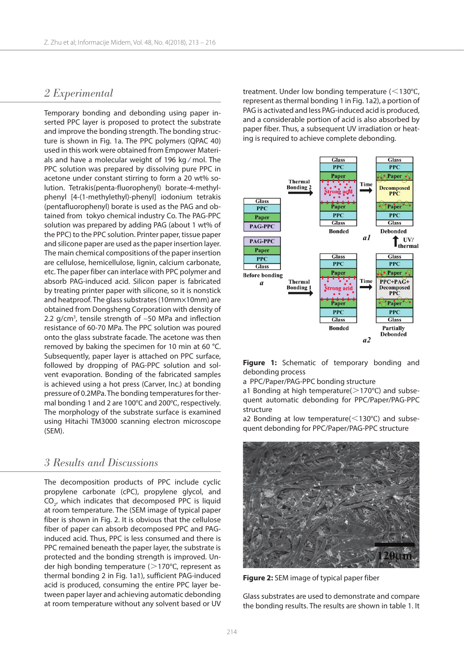### *2 Experimental*

Temporary bonding and debonding using paper inserted PPC layer is proposed to protect the substrate and improve the bonding strength. The bonding structure is shown in Fig. 1a. The PPC polymers (QPAC 40) used in this work were obtained from Empower Materials and have a molecular weight of 196 kg ∕ mol. The PPC solution was prepared by dissolving pure PPC in acetone under constant stirring to form a 20 wt% solution. Tetrakis(penta-fluorophenyl) borate-4-methylphenyl [4-(1-methylethyl)-phenyl] iodonium tetrakis (pentafluorophenyl) borate is used as the PAG and obtained from tokyo chemical industry Co. The PAG-PPC solution was prepared by adding PAG (about 1 wt% of the PPC) to the PPC solution. Printer paper, tissue paper and silicone paper are used as the paper insertion layer. The main chemical compositions of the paper insertion are cellulose, hemicellulose, lignin, calcium carbonate, etc. The paper fiber can interlace with PPC polymer and absorb PAG-induced acid. Silicon paper is fabricated by treating printer paper with silicone, so it is nonstick and heatproof. The glass substrates (10mm×10mm) are obtained from Dongsheng Corporation with density of 2.2 g/cm<sup>3</sup>, tensile strength of  $\sim$  50 MPa and inflection resistance of 60-70 MPa. The PPC solution was poured onto the glass substrate facade. The acetone was then removed by baking the specimen for 10 min at 60 °C. Subsequently, paper layer is attached on PPC surface, followed by dropping of PAG-PPC solution and solvent evaporation. Bonding of the fabricated samples is achieved using a hot press (Carver, Inc.) at bonding pressure of 0.2MPa. The bonding temperatures for thermal bonding 1 and 2 are 100℃ and 200℃, respectively. The morphology of the substrate surface is examined using Hitachi TM3000 scanning electron microscope (SEM).

#### *3 Results and Discussions*

The decomposition products of PPC include cyclic propylene carbonate (cPC), propylene glycol, and  $\text{CO}_{2'}$  which indicates that decomposed PPC is liquid at room temperature. The (SEM image of typical paper fiber is shown in Fig. 2. It is obvious that the cellulose fiber of paper can absorb decomposed PPC and PAGinduced acid. Thus, PPC is less consumed and there is PPC remained beneath the paper layer, the substrate is protected and the bonding strength is improved. Under high bonding temperature ( $>$ 170°C, represent as thermal bonding 2 in Fig. 1a1), sufficient PAG-induced acid is produced, consuming the entire PPC layer between paper layer and achieving automatic debonding at room temperature without any solvent based or UV

treatment. Under low bonding temperature (<130℃, represent as thermal bonding 1 in Fig. 1a2), a portion of PAG is activated and less PAG-induced acid is produced, and a considerable portion of acid is also absorbed by paper fiber. Thus, a subsequent UV irradiation or heating is required to achieve complete debonding.



**Figure 1:** Schematic of temporary bonding and debonding process

a PPC/Paper/PAG-PPC bonding structure

a1 Bonding at high temperature( $>$ 170°C) and subsequent automatic debonding for PPC/Paper/PAG-PPC structure

a2 Bonding at low temperature(<130℃) and subsequent debonding for PPC/Paper/PAG-PPC structure



**Figure 2:** SEM image of typical paper fiber

Glass substrates are used to demonstrate and compare the bonding results. The results are shown in table 1. It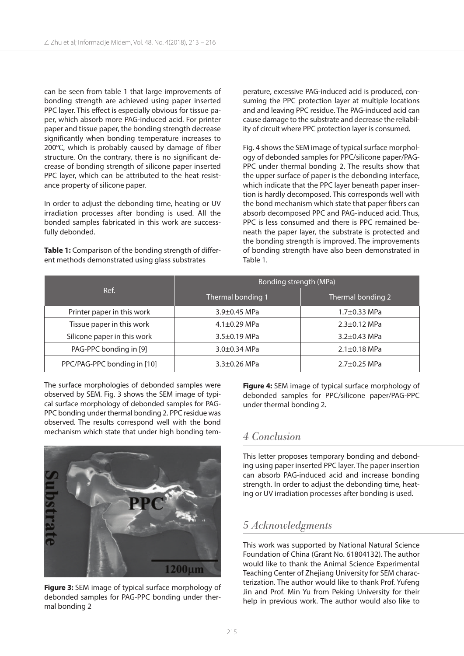can be seen from table 1 that large improvements of bonding strength are achieved using paper inserted PPC layer. This effect is especially obvious for tissue paper, which absorb more PAG-induced acid. For printer paper and tissue paper, the bonding strength decrease significantly when bonding temperature increases to 200℃, which is probably caused by damage of fiber structure. On the contrary, there is no significant decrease of bonding strength of silicone paper inserted PPC layer, which can be attributed to the heat resistance property of silicone paper.

In order to adjust the debonding time, heating or UV irradiation processes after bonding is used. All the bonded samples fabricated in this work are successfully debonded.

**Table 1:** Comparison of the bonding strength of different methods demonstrated using glass substrates

perature, excessive PAG-induced acid is produced, consuming the PPC protection layer at multiple locations and and leaving PPC residue. The PAG-induced acid can cause damage to the substrate and decrease the reliability of circuit where PPC protection layer is consumed.

Fig. 4 shows the SEM image of typical surface morphology of debonded samples for PPC/silicone paper/PAG-PPC under thermal bonding 2. The results show that the upper surface of paper is the debonding interface, which indicate that the PPC layer beneath paper insertion is hardly decomposed. This corresponds well with the bond mechanism which state that paper fibers can absorb decomposed PPC and PAG-induced acid. Thus, PPC is less consumed and there is PPC remained beneath the paper layer, the substrate is protected and the bonding strength is improved. The improvements of bonding strength have also been demonstrated in Table 1.

| Ref.                        | Bonding strength (MPa) |                    |
|-----------------------------|------------------------|--------------------|
|                             | Thermal bonding 1      | Thermal bonding 2  |
| Printer paper in this work  | $3.9 \pm 0.45$ MPa     | $1.7 \pm 0.33$ MPa |
| Tissue paper in this work   | $4.1 \pm 0.29$ MPa     | $2.3 \pm 0.12$ MPa |
| Silicone paper in this work | $3.5 \pm 0.19$ MPa     | $3.2 \pm 0.43$ MPa |
| PAG-PPC bonding in [9]      | $3.0 \pm 0.34$ MPa     | $2.1 \pm 0.18$ MPa |
| PPC/PAG-PPC bonding in [10] | $3.3 \pm 0.26$ MPa     | $2.7 \pm 0.25$ MPa |

The surface morphologies of debonded samples were observed by SEM. Fig. 3 shows the SEM image of typical surface morphology of debonded samples for PAG-PPC bonding under thermal bonding 2. PPC residue was observed. The results correspond well with the bond mechanism which state that under high bonding tem-



**Figure 3:** SEM image of typical surface morphology of debonded samples for PAG-PPC bonding under thermal bonding 2

**Figure 4:** SEM image of typical surface morphology of debonded samples for PPC/silicone paper/PAG-PPC under thermal bonding 2.

#### *4 Conclusion*

This letter proposes temporary bonding and debonding using paper inserted PPC layer. The paper insertion can absorb PAG-induced acid and increase bonding strength. In order to adjust the debonding time, heating or UV irradiation processes after bonding is used.

## *5 Acknowledgments*

This work was supported by National Natural Science Foundation of China (Grant No. 61804132). The author would like to thank the Animal Science Experimental Teaching Center of Zhejiang University for SEM characterization. The author would like to thank Prof. Yufeng Jin and Prof. Min Yu from Peking University for their help in previous work. The author would also like to